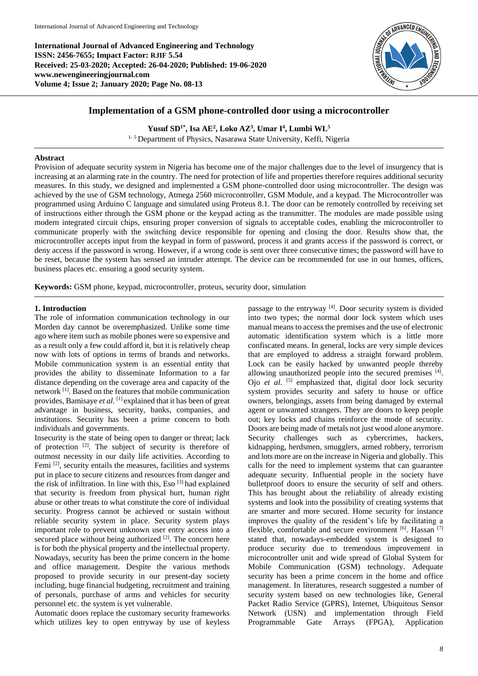**International Journal of Advanced Engineering and Technology ISSN: 2456-7655; Impact Factor: RJIF 5.54 Received: 25-03-2020; Accepted: 26-04-2020; Published: 19-06-2020 www.newengineeringjournal.com Volume 4; Issue 2; January 2020; Page No. 08-13**



# **Implementation of a GSM phone-controlled door using a microcontroller**

**Yusuf SD1\* , Isa AE<sup>2</sup> , Loko AZ<sup>3</sup> , Umar I 4 , Lumbi WL<sup>5</sup>**

<sup>1-5</sup> Department of Physics, Nasarawa State University, Keffi, Nigeria

## **Abstract**

Provision of adequate security system in Nigeria has become one of the major challenges due to the level of insurgency that is increasing at an alarming rate in the country. The need for protection of life and properties therefore requires additional security measures. In this study, we designed and implemented a GSM phone-controlled door using microcontroller. The design was achieved by the use of GSM technology, Atmega 2560 microcontroller, GSM Module, and a keypad. The Microcontroller was programmed using Arduino C language and simulated using Proteus 8.1. The door can be remotely controlled by receiving set of instructions either through the GSM phone or the keypad acting as the transmitter. The modules are made possible using modern integrated circuit chips, ensuring proper conversion of signals to acceptable codes, enabling the microcontroller to communicate properly with the switching device responsible for opening and closing the door. Results show that, the microcontroller accepts input from the keypad in form of password, process it and grants access if the password is correct, or deny access if the password is wrong. However, if a wrong code is sent over three consecutive times; the password will have to be reset, because the system has sensed an intruder attempt. The device can be recommended for use in our homes, offices, business places etc. ensuring a good security system.

**Keywords:** GSM phone, keypad, microcontroller, proteus, security door, simulation

## **1. Introduction**

The role of information communication technology in our Morden day cannot be overemphasized. Unlike some time ago where item such as mobile phones were so expensive and as a result only a few could afford it, but it is relatively cheap now with lots of options in terms of brands and networks. Mobile communication system is an essential entity that provides the ability to disseminate Information to a far distance depending on the coverage area and capacity of the network [1]. Based on the features that mobile communication provides, Bamisaye *et al*. [1] explained that it has been of great advantage in business, security, banks, companies, and institutions. Security has been a prime concern to both individuals and governments.

Insecurity is the state of being open to danger or threat; lack of protection [2]. The subject of security is therefore of outmost necessity in our daily life activities. According to Femi [2], security entails the measures, facilities and systems put in place to secure citizens and resources from danger and the risk of infiltration. In line with this, Eso [3] had explained that security is freedom from physical hurt, human right abuse or other treats to what constitute the core of individual security. Progress cannot be achieved or sustain without reliable security system in place. Security system plays important role to prevent unknown user entry access into a secured place without being authorized [2]. The concern here is for both the physical property and the intellectual property. Nowadays, security has been the prime concern in the home and office management. Despite the various methods proposed to provide security in our present-day society including, huge financial budgeting, recruitment and training of personals, purchase of arms and vehicles for security personnel etc. the system is yet vulnerable.

Automatic doors replace the customary security frameworks which utilizes key to open entryway by use of keyless

passage to the entryway [4]. Door security system is divided into two types; the normal door lock system which uses manual means to access the premises and the use of electronic automatic identification system which is a little more confiscated means. In general, locks are very simple devices that are employed to address a straight forward problem. Lock can be easily hacked by unwanted people thereby allowing unauthorized people into the secured premises [4]. Ojo et al. <sup>[5]</sup> emphasized that, digital door lock security system provides security and safety to house or office owners, belongings, assets from being damaged by external agent or unwanted strangers. They are doors to keep people out; key locks and chains reinforce the mode of security. Doors are being made of metals not just wood alone anymore. Security challenges such as cybercrimes, hackers, kidnapping, herdsmen, smugglers, armed robbery, terrorism and lots more are on the increase in Nigeria and globally. This calls for the need to implement systems that can guarantee adequate security. Influential people in the society have bulletproof doors to ensure the security of self and others. This has brought about the reliability of already existing systems and look into the possibility of creating systems that are smarter and more secured. Home security for instance improves the quality of the resident's life by facilitating a flexible, comfortable and secure environment [6]. Hassan [7] stated that, nowadays-embedded system is designed to produce security due to tremendous improvement in microcontroller unit and wide spread of Global System for Mobile Communication (GSM) technology. Adequate security has been a prime concern in the home and office management. In literatures, research suggested a number of security system based on new technologies like, General Packet Radio Service (GPRS), Internet, Ubiquitous Sensor Network (USN) and implementation through Field Programmable Gate Arrays (FPGA), Application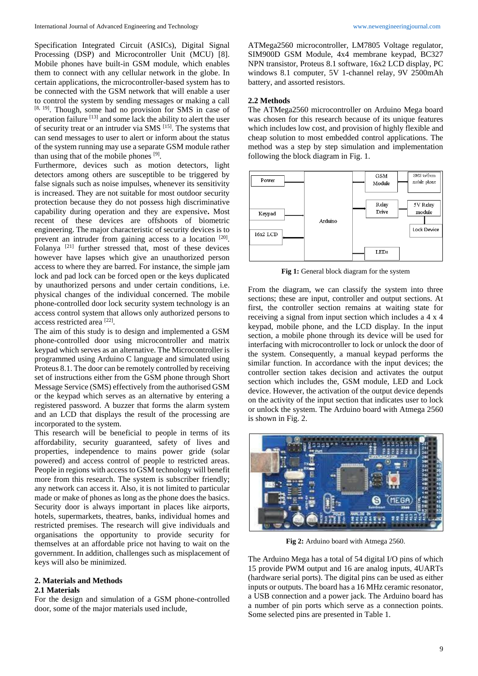Specification Integrated Circuit (ASICs), Digital Signal Processing (DSP) and Microcontroller Unit (MCU) [8]. Mobile phones have built-in GSM module, which enables them to connect with any cellular network in the globe. In certain applications, the microcontroller-based system has to be connected with the GSM network that will enable a user to control the system by sending messages or making a call [8, 19]. Though, some had no provision for SMS in case of operation failure [13] and some lack the ability to alert the user of security treat or an intruder via SMS [15]. The systems that can send messages to user to alert or inform about the status of the system running may use a separate GSM module rather than using that of the mobile phones [9].

Furthermore, devices such as motion detectors, light detectors among others are susceptible to be triggered by false signals such as noise impulses, whenever its sensitivity is increased. They are not suitable for most outdoor security protection because they do not possess high discriminative capability during operation and they are expensive**.** Most recent of these devices are offshoots of biometric engineering. The major characteristic of security devices is to prevent an intruder from gaining access to a location [20]. Folanya [21] further stressed that, most of these devices however have lapses which give an unauthorized person access to where they are barred. For instance, the simple jam lock and pad lock can be forced open or the keys duplicated by unauthorized persons and under certain conditions, i.e. physical changes of the individual concerned. The mobile phone-controlled door lock security system technology is an access control system that allows only authorized persons to access restricted area [22] .

The aim of this study is to design and implemented a GSM phone-controlled door using microcontroller and matrix keypad which serves as an alternative. The Microcontroller is programmed using Arduino C language and simulated using Proteus 8.1. The door can be remotely controlled by receiving set of instructions either from the GSM phone through Short Message Service (SMS) effectively from the authorised GSM or the keypad which serves as an alternative by entering a registered password. A buzzer that forms the alarm system and an LCD that displays the result of the processing are incorporated to the system.

This research will be beneficial to people in terms of its affordability, security guaranteed, safety of lives and properties, independence to mains power gride (solar powered) and access control of people to restricted areas. People in regions with access to GSM technology will benefit more from this research. The system is subscriber friendly; any network can access it. Also, it is not limited to particular made or make of phones as long as the phone does the basics. Security door is always important in places like airports, hotels, supermarkets, theatres, banks, individual homes and restricted premises. The research will give individuals and organisations the opportunity to provide security for themselves at an affordable price not having to wait on the government. In addition, challenges such as misplacement of keys will also be minimized.

### **2. Materials and Methods**

### **2.1 Materials**

For the design and simulation of a GSM phone-controlled door, some of the major materials used include,

ATMega2560 microcontroller, LM7805 Voltage regulator, SIM900D GSM Module, 4x4 membrane keypad, BC327 NPN transistor, Proteus 8.1 software, 16x2 LCD display, PC windows 8.1 computer, 5V 1-channel relay, 9V 2500mAh battery, and assorted resistors.

### **2.2 Methods**

The ATMega2560 microcontroller on Arduino Mega board was chosen for this research because of its unique features which includes low cost, and provision of highly flexible and cheap solution to most embedded control applications. The method was a step by step simulation and implementation following the block diagram in Fig. 1.



**Fig 1:** General block diagram for the system

From the diagram, we can classify the system into three sections; these are input, controller and output sections. At first, the controller section remains at waiting state for receiving a signal from input section which includes a 4 x 4 keypad, mobile phone, and the LCD display. In the input section, a mobile phone through its device will be used for interfacing with microcontroller to lock or unlock the door of the system. Consequently, a manual keypad performs the similar function. In accordance with the input devices; the controller section takes decision and activates the output section which includes the, GSM module, LED and Lock device. However, the activation of the output device depends on the activity of the input section that indicates user to lock or unlock the system. The Arduino board with Atmega 2560 is shown in Fig. 2.



**Fig 2:** Arduino board with Atmega 2560.

The Arduino Mega has a total of 54 digital I/O pins of which 15 provide PWM output and 16 are analog inputs, 4UARTs (hardware serial ports). The digital pins can be used as either inputs or outputs. The board has a 16 MHz ceramic resonator, a USB connection and a power jack. The Arduino board has a number of pin ports which serve as a connection points. Some selected pins are presented in Table 1.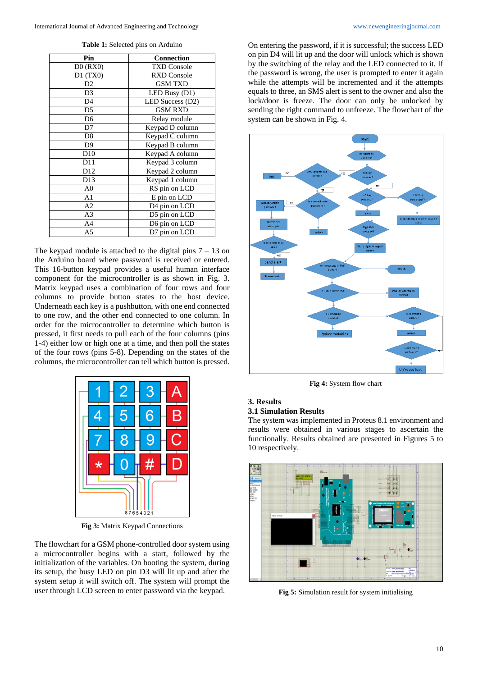**Table 1:** Selected pins on Arduino

| Pin             | Connection         |
|-----------------|--------------------|
| $D0$ (RX0)      | <b>TXD Console</b> |
| D1(TX0)         | <b>RXD Console</b> |
| D2              | <b>GSM TXD</b>     |
| D <sub>3</sub>  | LED Busy (D1)      |
| D4              | LED Success (D2)   |
| D <sub>5</sub>  | <b>GSM RXD</b>     |
| D <sub>6</sub>  | Relay module       |
| D7              | Keypad D column    |
| D <sub>8</sub>  | Keypad C column    |
| D <sub>9</sub>  | Keypad B column    |
| D10             | Keypad A column    |
| D11             | Keypad 3 column    |
| D <sub>12</sub> | Keypad 2 column    |
| D13             | Keypad 1 column    |
| A <sub>0</sub>  | RS pin on LCD      |
| A1              | E pin on LCD       |
| A2              | D4 pin on LCD      |
| A <sub>3</sub>  | D5 pin on LCD      |
| A <sub>4</sub>  | D6 pin on LCD      |
| A <sub>5</sub>  | D7 pin on LCD      |

The keypad module is attached to the digital pins  $7 - 13$  on the Arduino board where password is received or entered. This 16-button keypad provides a useful human interface component for the microcontroller is as shown in Fig. 3. Matrix keypad uses a combination of four rows and four columns to provide button states to the host device. Underneath each key is a pushbutton, with one end connected to one row, and the other end connected to one column. In order for the microcontroller to determine which button is pressed, it first needs to pull each of the four columns (pins 1-4) either low or high one at a time, and then poll the states of the four rows (pins 5-8). Depending on the states of the columns, the microcontroller can tell which button is pressed.



**Fig 3:** Matrix Keypad Connections

The flowchart for a GSM phone-controlled door system using a microcontroller begins with a start, followed by the initialization of the variables. On booting the system, during its setup, the busy LED on pin D3 will lit up and after the system setup it will switch off. The system will prompt the user through LCD screen to enter password via the keypad.

On entering the password, if it is successful; the success LED on pin D4 will lit up and the door will unlock which is shown by the switching of the relay and the LED connected to it. If the password is wrong, the user is prompted to enter it again while the attempts will be incremented and if the attempts equals to three, an SMS alert is sent to the owner and also the lock/door is freeze. The door can only be unlocked by sending the right command to unfreeze. The flowchart of the system can be shown in Fig. 4.



**Fig 4:** System flow chart

# **3. Results**

# **3.1 Simulation Results**

The system was implemented in Proteus 8.1 environment and results were obtained in various stages to ascertain the functionally. Results obtained are presented in Figures 5 to 10 respectively.



**Fig 5:** Simulation result for system initialising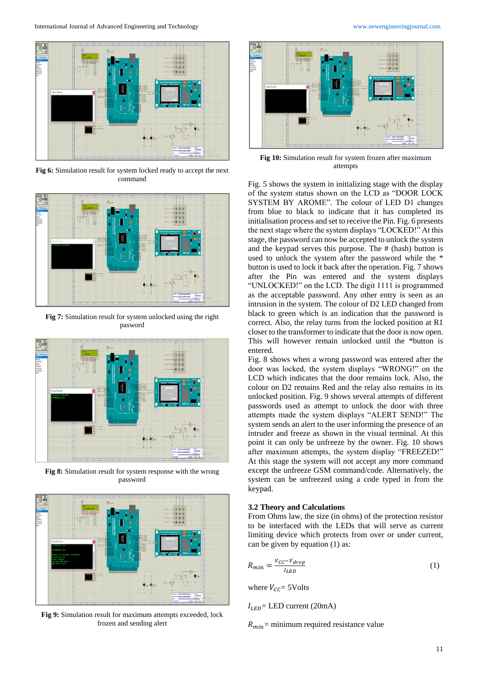

**Fig 6:** Simulation result for system locked ready to accept the next command



**Fig 7:** Simulation result for system unlocked using the right pasword



**Fig 8:** Simulation result for system response with the wrong password



**Fig 9:** Simulation result for maximum attempts exceeded, lock frozen and sending alert



**Fig 10:** Simulation result for system frozen after maximum attempts

Fig. 5 shows the system in initializing stage with the display of the system status shown on the LCD as "DOOR LOCK SYSTEM BY AROME". The colour of LED D1 changes from blue to black to indicate that it has completed its initialisation process and set to receive the Pin. Fig. 6 presents the next stage where the system displays "LOCKED!" At this stage, the password can now be accepted to unlock the system and the keypad serves this purpose. The # (hash) button is used to unlock the system after the password while the \* button is used to lock it back after the operation. Fig. 7 shows after the Pin was entered and the system displays "UNLOCKED!" on the LCD. The digit 1111 is programmed as the acceptable password. Any other entry is seen as an intrusion in the system. The colour of D2 LED changed from black to green which is an indication that the password is correct. Also, the relay turns from the locked position at R1 closer to the transformer to indicate that the door is now open. This will however remain unlocked until the \*button is entered.

Fig. 8 shows when a wrong password was entered after the door was locked, the system displays "WRONG!" on the LCD which indicates that the door remains lock. Also, the colour on D2 remains Red and the relay also remains in its unlocked position. Fig. 9 shows several attempts of different passwords used as attempt to unlock the door with three attempts made the system displays "ALERT SEND!" The system sends an alert to the user informing the presence of an intruder and freeze as shown in the visual terminal. At this point it can only be unfreeze by the owner. Fig. 10 shows after maximum attempts, the system display "FREEZED!" At this stage the system will not accept any more command except the unfreeze GSM command/code. Alternatively, the system can be unfreezed using a code typed in from the keypad.

### **3.2 Theory and Calculations**

From Ohms law, the size (in ohms) of the protection resistor to be interfaced with the LEDs that will serve as current limiting device which protects from over or under current, can be given by equation (1) as:

$$
R_{min} = \frac{V_{CC} - V_{drop}}{I_{LED}}
$$
 (1)

where  $V_{cc}$  = 5Volts

 $I_{LED}$  = LED current (20mA)

 $R_{min}$  = minimum required resistance value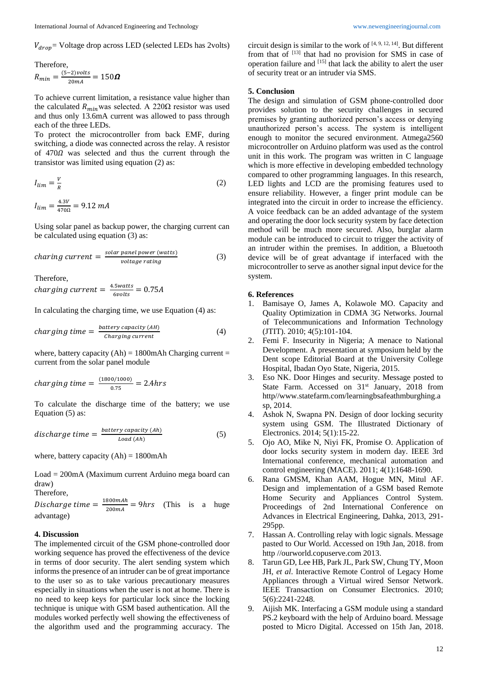$V_{drop}$ = Voltage drop across LED (selected LEDs has 2volts)

Therefore,

$$
R_{min} = \frac{(5-2)\nu o l t s}{20 mA} = 150 \Omega
$$

To achieve current limitation, a resistance value higher than the calculated  $R_{min}$  was selected. A 220 $\Omega$  resistor was used and thus only 13.6mA current was allowed to pass through each of the three LEDs.

To protect the microcontroller from back EMF, during switching, a diode was connected across the relay. A resistor of  $470\Omega$  was selected and thus the current through the transistor was limited using equation (2) as:

$$
I_{lim} = \frac{V}{R} \tag{2}
$$

 $I_{lim} = \frac{4.3V}{4700}$  $\frac{4.3v}{470\Omega} = 9.12 \text{ mA}$ 

Using solar panel as backup power, the charging current can be calculated using equation (3) as:

$$
charging current = \frac{solar panel power (watts)}{voltage rating}
$$
 (3)

Therefore,

$$
charging current = \frac{4.5watts}{6volts} = 0.75A
$$

In calculating the charging time, we use Equation (4) as:

$$
charging time = \frac{battery capacity (AH)}{Charging current}
$$
 (4)

where, battery capacity  $(Ah) = 1800$ mAh Charging current = current from the solar panel module

$$
charging\ time = \frac{(1800/1000)}{0.75} = 2.4 hrs
$$

To calculate the discharge time of the battery; we use Equation (5) as:

discharge time = 
$$
\frac{battery\ capacity\ (Ah)}{Load\ (Ah)}
$$
 (5)

where, battery capacity  $(Ah) = 1800$ mAh

Load = 200mA (Maximum current Arduino mega board can draw)

Therefore,

Discharge time  $=\frac{1800 mAh}{200 mA}$  $\frac{800ma}{200mA}$  = 9hrs (This is a huge advantage)

### **4. Discussion**

The implemented circuit of the GSM phone-controlled door working sequence has proved the effectiveness of the device in terms of door security. The alert sending system which informs the presence of an intruder can be of great importance to the user so as to take various precautionary measures especially in situations when the user is not at home. There is no need to keep keys for particular lock since the locking technique is unique with GSM based authentication. All the modules worked perfectly well showing the effectiveness of the algorithm used and the programming accuracy. The

circuit design is similar to the work of  $[4, 9, 12, 14]$ . But different from that of [13] that had no provision for SMS in case of operation failure and [15] that lack the ability to alert the user of security treat or an intruder via SMS.

### **5. Conclusion**

The design and simulation of GSM phone-controlled door provides solution to the security challenges in secured premises by granting authorized person's access or denying unauthorized person's access. The system is intelligent enough to monitor the secured environment. Atmega2560 microcontroller on Arduino platform was used as the control unit in this work. The program was written in C language which is more effective in developing embedded technology compared to other programming languages. In this research, LED lights and LCD are the promising features used to ensure reliability. However, a finger print module can be integrated into the circuit in order to increase the efficiency. A voice feedback can be an added advantage of the system and operating the door lock security system by face detection method will be much more secured. Also, burglar alarm module can be introduced to circuit to trigger the activity of an intruder within the premises. In addition, a Bluetooth device will be of great advantage if interfaced with the microcontroller to serve as another signal input device for the system.

### **6. References**

- 1. Bamisaye O, James A, Kolawole MO. Capacity and Quality Optimization in CDMA 3G Networks. Journal of Telecommunications and Information Technology (JTIT). 2010; 4(5):101-104.
- 2. Femi F. Insecurity in Nigeria; A menace to National Development. A presentation at symposium held by the Dent scope Editorial Board at the University College Hospital, Ibadan Oyo State, Nigeria, 2015.
- 3. Eso NK. Door Hinges and security. Message posted to State Farm. Accessed on 31<sup>st</sup> January, 2018 from http//www.statefarm.com/learningbsafeathmburghing.a sp, 2014.
- 4. Ashok N, Swapna PN. Design of door locking security system using GSM. The Illustrated Dictionary of Electronics. 2014; 5(1):15-22.
- 5. Ojo AO, Mike N, Niyi FK, Promise O. Application of door locks security system in modern day. IEEE 3rd International conference, mechanical automation and control engineering (MACE). 2011; 4(1):1648-1690.
- 6. Rana GMSM, Khan AAM, Hogue MN, Mitul AF. Design and implementation of a GSM based Remote Home Security and Appliances Control System. Proceedings of 2nd International Conference on Advances in Electrical Engineering, Dahka, 2013, 291- 295pp.
- 7. Hassan A. Controlling relay with logic signals. Message pasted to Our World. Accessed on 19th Jan, 2018. from http //ourworld.copuserve.com 2013.
- 8. Tarun GD, Lee HB, Park JL, Park SW, Chung TY, Moon JH, *et al*. Interactive Remote Control of Legacy Home Appliances through a Virtual wired Sensor Network. IEEE Transaction on Consumer Electronics. 2010; 5(6):2241-2248.
- 9. Aijish MK. Interfacing a GSM module using a standard PS.2 keyboard with the help of Arduino board. Message posted to Micro Digital. Accessed on 15th Jan, 2018.